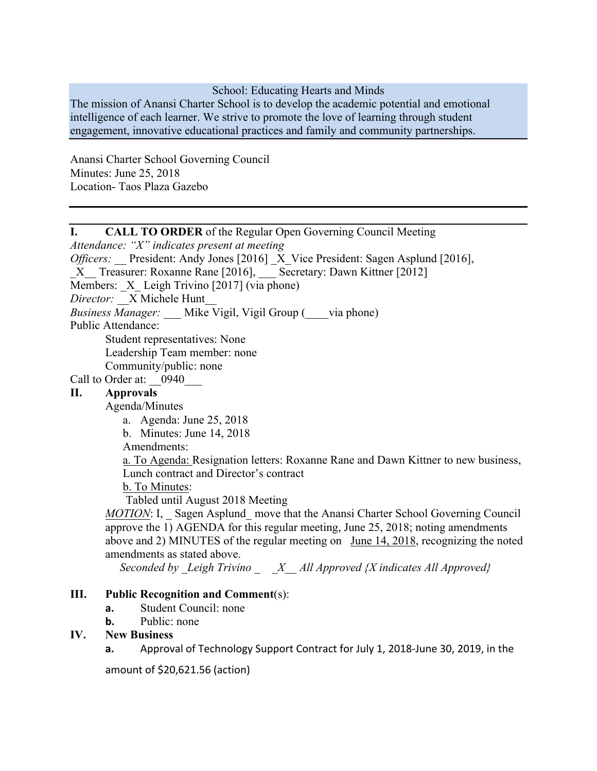#### School: Educating Hearts and Minds

The mission of Anansi Charter School is to develop the academic potential and emotional intelligence of each learner. We strive to promote the love of learning through student engagement, innovative educational practices and family and community partnerships.

Anansi Charter School Governing Council Minutes: June 25, 2018 Location- Taos Plaza Gazebo

# I. CALL TO ORDER of the Regular Open Governing Council Meeting

*Attendance: "X" indicates present at meeting*

*Officers:* President: Andy Jones [2016] X Vice President: Sagen Asplund [2016],

\_X\_\_ Treasurer: Roxanne Rane [2016], \_\_\_ Secretary: Dawn Kittner [2012]

Members:  $X$  Leigh Trivino [2017] (via phone)

*Director:* \_\_X Michele Hunt\_\_

*Business Manager:* Mike Vigil, Vigil Group ( \_\_\_via phone)

Public Attendance:

Student representatives: None

Leadership Team member: none

Community/public: none

# Call to Order at: 0940

### II. Approvals

Agenda/Minutes

- a. Agenda: June 25, 2018
- b. Minutes: June 14, 2018

Amendments:

a. To Agenda: Resignation letters: Roxanne Rane and Dawn Kittner to new business, Lunch contract and Director's contract

b. To Minutes:

Tabled until August 2018 Meeting

*MOTION*: I, Sagen Asplund move that the Anansi Charter School Governing Council approve the 1) AGENDA for this regular meeting, June 25, 2018; noting amendments above and 2) MINUTES of the regular meeting on June 14, 2018, recognizing the noted amendments as stated above.

 *Seconded by \_Leigh Trivino \_ \_X\_\_ All Approved {X indicates All Approved}*

#### III. Public Recognition and Comment(s):

- **a.** Student Council: none
- **b.** Public: none

### IV. New Business

**a.** Approval of Technology Support Contract for July 1, 2018-June 30, 2019, in the

amount of \$20,621.56 (action)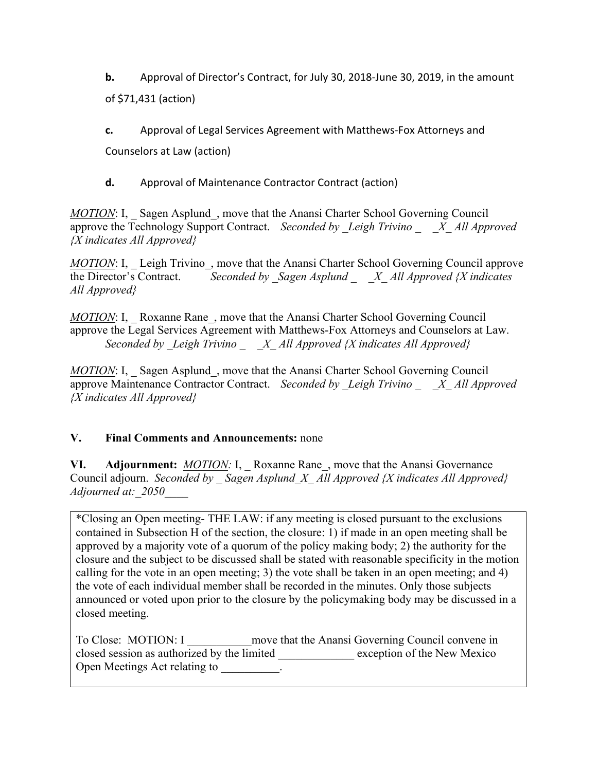**b.** Approval of Director's Contract, for July 30, 2018-June 30, 2019, in the amount of \$71,431 (action)

**c.** Approval of Legal Services Agreement with Matthews-Fox Attorneys and

Counselors at Law (action)

**d.** Approval of Maintenance Contractor Contract (action)

*MOTION*: I, Sagen Asplund, move that the Anansi Charter School Governing Council approve the Technology Support Contract. *Seconded by Leigh Trivino X All Approved {X indicates All Approved}*

*MOTION*: I, Leigh Trivino, move that the Anansi Charter School Governing Council approve the Director's Contract. *Seconded by \_Sagen Asplund \_ \_X\_ All Approved {X indicates All Approved}*

*MOTION*: I, Roxanne Rane, move that the Anansi Charter School Governing Council approve the Legal Services Agreement with Matthews-Fox Attorneys and Counselors at Law. *Seconded by \_Leigh Trivino \_ \_X\_ All Approved {X indicates All Approved}*

*MOTION*: I, Sagen Asplund, move that the Anansi Charter School Governing Council approve Maintenance Contractor Contract. *Seconded by Leigh Trivino X All Approved {X indicates All Approved}*

# V. Final Comments and Announcements: none

VI. Adjournment: *MOTION:* I, Roxanne Rane, move that the Anansi Governance Council adjourn. *Seconded by \_ Sagen Asplund\_X\_ All Approved {X indicates All Approved} Adjourned at:\_2050\_\_\_\_*

\*Closing an Open meeting- THE LAW: if any meeting is closed pursuant to the exclusions contained in Subsection H of the section, the closure: 1) if made in an open meeting shall be approved by a majority vote of a quorum of the policy making body; 2) the authority for the closure and the subject to be discussed shall be stated with reasonable specificity in the motion calling for the vote in an open meeting; 3) the vote shall be taken in an open meeting; and 4) the vote of each individual member shall be recorded in the minutes. Only those subjects announced or voted upon prior to the closure by the policymaking body may be discussed in a closed meeting.

| To Close: MOTION: I                         | move that the Anansi Governing Council convene in |
|---------------------------------------------|---------------------------------------------------|
| closed session as authorized by the limited | exception of the New Mexico                       |
| Open Meetings Act relating to               |                                                   |